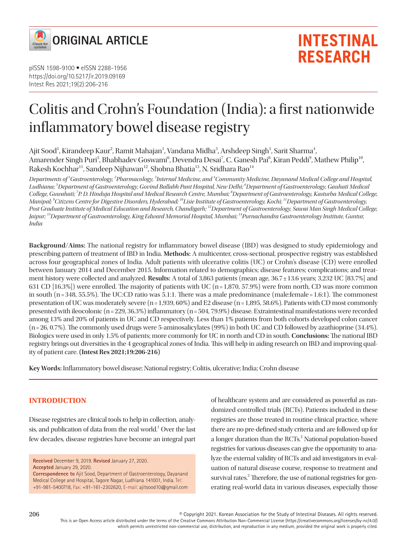

# Colitis and Crohn's Foundation (India): a first nationwide inflammatory bowel disease registry

Ajit Sood<sup>1</sup>, Kirandeep Kaur<sup>2</sup>, Ramit Mahajan<sup>1</sup>, Vandana Midha<sup>3</sup>, Arshdeep Singh<sup>1</sup>, Sarit Sharma<sup>4</sup>, Amarender Singh Puri<sup>5</sup>, Bhabhadev Goswami<sup>6</sup>, Devendra Desai<sup>7</sup>, C. Ganesh Pai<sup>8</sup>, Kiran Peddi<sup>9</sup>, Mathew Philip<sup>10</sup>, Rakesh Kochhar<sup>11</sup>, Sandeep Nijhawan<sup>12</sup>, Shobna Bhatia<sup>13</sup>, N. Sridhara Rao<sup>14</sup>

*Departments of 1 Gastroenterology, 2 Pharmacology, 3 Internal Medicine, and 4 Community Medicine, Dayanand Medical College and Hospital, Ludhiana; <sup>5</sup> Department of Gastroenterology, Govind Ballabh Pant Hospital, New Delhi; 6 Department of Gastroenterology, Gauhati Medical College, Guwahati; 7 P. D. Hinduja Hospital and Medical Research Centre, Mumbai; 8 Department of Gastroenterology, Kasturba Medical College, Manipal; 9 Citizens Centre for Digestive Disorders, Hyderabad; 10Lisie Institute of Gastroenterology, Kochi; 11Department of Gastroenterology, Post Graduate Institute of Medical Education and Research, Chandigarh; 12Department of Gastroenterology, Sawai Man Singh Medical College, Jaipur; 13Department of Gastroenterology, King Edward Memorial Hospital, Mumbai; 14Purnachandra Gastroenterology Institute, Guntur, India*

**Background/Aims:** The national registry for inflammatory bowel disease (IBD) was designed to study epidemiology and prescribing pattern of treatment of IBD in India. **Methods:** A multicenter, cross-sectional, prospective registry was established across four geographical zones of India. Adult patients with ulcerative colitis (UC) or Crohn's disease (CD) were enrolled between January 2014 and December 2015. Information related to demographics; disease features; complications; and treatment history were collected and analyzed. **Results:** A total of 3,863 patients (mean age, 36.7 ± 13.6 years; 3,232 UC [83.7%] and 631 CD  $[16.3\%]$  were enrolled. The majority of patients with UC (n=1,870, 57.9%) were from north, CD was more common in south (n=348, 55.5%). The UC:CD ratio was 5.1:1. There was a male predominance (male:female = 1.6:1). The commonest presentation of UC was moderately severe  $(n=1,939, 60\%)$  and E2 disease  $(n=1,895, 58.6\%)$ . Patients with CD most commonly presented with ileocolonic (n = 229, 36.3%) inflammatory (n = 504, 79.9%) disease. Extraintestinal manifestations were recorded among 13% and 20% of patients in UC and CD respectively. Less than 1% patients from both cohorts developed colon cancer (n = 26, 0.7%). The commonly used drugs were 5-aminosalicylates (99%) in both UC and CD followed by azathioprine (34.4%). Biologics were used in only 1.5% of patients; more commonly for UC in north and CD in south. **Conclusions:** The national IBD registry brings out diversities in the 4 geographical zones of India. This will help in aiding research on IBD and improving quality of patient care. **(Intest Res 2021;19:206-216)**

**Key Words:** Inflammatory bowel disease; National registry; Colitis, ulcerative; India; Crohn disease

#### **INTRODUCTION**

Disease registries are clinical tools to help in collection, analysis, and publication of data from the real world.<sup>1</sup> Over the last few decades, disease registries have become an integral part

**Accepted** January 29, 2020.

**Correspondence to** Ajit Sood, Department of Gastroenterology, Dayanand Medical College and Hospital, Tagore Nagar, Ludhiana 141001, India. Tel: +91-981-5400718, Fax: +91-161-2302620, E-mail: ajitsood10@gmail.com

of healthcare system and are considered as powerful as randomized controlled trials (RCTs). Patients included in these registries are those treated in routine clinical practice, where there are no pre-defined study criteria and are followed up for a longer duration than the RCTs.<sup>2</sup> National population-based registries for various diseases can give the opportunity to analyze the external validity of RCTs and aid investigators in evaluation of natural disease course, response to treatment and survival rates.<sup>2</sup> Therefore, the use of national registries for generating real-world data in various diseases, especially those

© Copyright 2021. Korean Association for the Study of Intestinal Diseases. All rights reserved. This is an Open Access article distributed under the terms of the Creative Commons Attribution Non-Commercial License (https://creativecommons.org/licenses/by-nc/4.0/) which permits unrestricted non-commercial use, distribution, and reproduction in any medium, provided the original work is properly cited.

**Received** December 9, 2019. **Revised** January 27, 2020.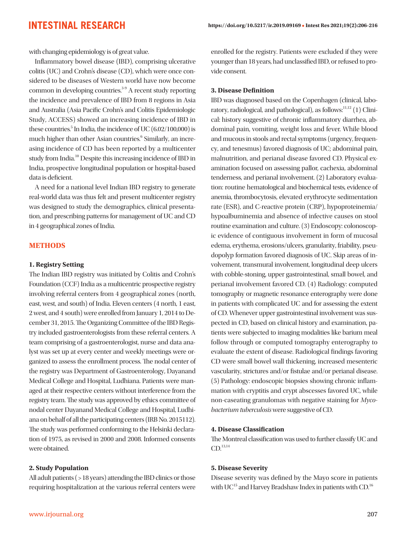with changing epidemiology is of great value.

Inflammatory bowel disease (IBD), comprising ulcerative colitis (UC) and Crohn's disease (CD), which were once considered to be diseases of Western world have now become common in developing countries.<sup>3-9</sup> A recent study reporting the incidence and prevalence of IBD from 8 regions in Asia and Australia (Asia Pacific Crohn's and Colitis Epidemiologic Study, ACCESS) showed an increasing incidence of IBD in these countries. $5$  In India, the incidence of UC (6.02/100,000) is much higher than other Asian countries.<sup>6</sup> Similarly, an increasing incidence of CD has been reported by a multicenter study from India.<sup>10</sup> Despite this increasing incidence of IBD in India, prospective longitudinal population or hospital-based data is deficient.

A need for a national level Indian IBD registry to generate real-world data was thus felt and present multicenter registry was designed to study the demographics, clinical presentation, and prescribing patterns for management of UC and CD in 4 geographical zones of India.

#### **METHODS**

#### **1. Registry Setting**

The Indian IBD registry was initiated by Colitis and Crohn's Foundation (CCF) India as a multicentric prospective registry involving referral centers from 4 geographical zones (north, east, west, and south) of India. Eleven centers (4 north, 1 east, 2 west, and 4 south) were enrolled from January 1, 2014 to December 31, 2015. The Organizing Committee of the IBD Registry included gastroenterologists from these referral centers. A team comprising of a gastroenterologist, nurse and data analyst was set up at every center and weekly meetings were organized to assess the enrollment process. The nodal center of the registry was Department of Gastroenterology, Dayanand Medical College and Hospital, Ludhiana. Patients were managed at their respective centers without interference from the registry team. The study was approved by ethics committee of nodal center Dayanand Medical College and Hospital, Ludhiana on behalf of all the participating centers (IRB No. 2015112). The study was performed conforming to the Helsinki declaration of 1975, as revised in 2000 and 2008. Informed consents were obtained.

#### **2. Study Population**

All adult patients ( > 18 years) attending the IBD clinics or those requiring hospitalization at the various referral centers were enrolled for the registry. Patients were excluded if they were younger than 18 years, had unclassified IBD, or refused to provide consent.

#### **3. Disease Definition**

IBD was diagnosed based on the Copenhagen (clinical, laboratory, radiological, and pathological), as follows: $^{11,12}$  (1) Clinical: history suggestive of chronic inflammatory diarrhea, abdominal pain, vomiting, weight loss and fever. While blood and mucous in stools and rectal symptoms (urgency, frequency, and tenesmus) favored diagnosis of UC; abdominal pain, malnutrition, and perianal disease favored CD. Physical examination focused on assessing pallor, cachexia, abdominal tenderness, and perianal involvement. (2) Laboratory evaluation: routine hematological and biochemical tests, evidence of anemia, thrombocytosis, elevated erythrocyte sedimentation rate (ESR), and C-reactive protein (CRP), hypoproteinemia/ hypoalbuminemia and absence of infective causes on stool routine examination and culture. (3) Endoscopy: colonoscopic evidence of contiguous involvement in form of mucosal edema, erythema, erosions/ulcers, granularity, friability, pseudopolyp formation favored diagnosis of UC. Skip areas of involvement, transmural involvement, longitudinal deep ulcers with cobble-stoning, upper gastrointestinal, small bowel, and perianal involvement favored CD. (4) Radiology: computed tomography or magnetic resonance enterography were done in patients with complicated UC and for assessing the extent of CD. Whenever upper gastrointestinal involvement was suspected in CD, based on clinical history and examination, patients were subjected to imaging modalities like barium meal follow through or computed tomography enterography to evaluate the extent of disease. Radiological findings favoring CD were small bowel wall thickening, increased mesenteric vascularity, strictures and/or fistulae and/or perianal disease. (5) Pathology: endoscopic biopsies showing chronic inflammation with cryptitis and crypt abscesses favored UC, while non-caseating granulomas with negative staining for *Mycobacterium tuberculosis* were suggestive of CD.

#### **4. Disease Classification**

The Montreal classification was used to further classify UC and  $CD.$ <sup>13,14</sup>

#### **5. Disease Severity**

Disease severity was defined by the Mayo score in patients with  $UC^{15}$  and Harvey Bradshaw Index in patients with CD.<sup>16</sup>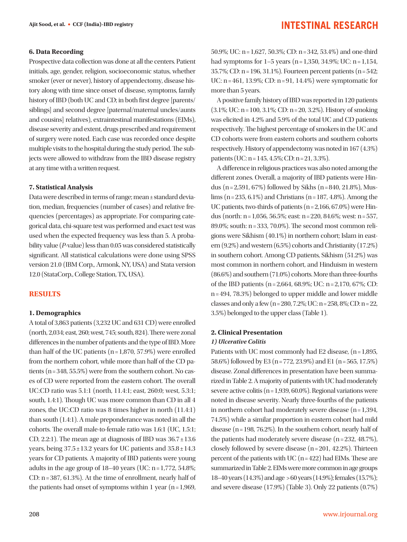#### **6. Data Recording**

Prospective data collection was done at all the centers. Patient initials, age, gender, religion, socioeconomic status, whether smoker (ever or never), history of appendectomy, disease history along with time since onset of disease, symptoms, family history of IBD (both UC and CD; in both first degree [parents/ siblings] and second degree [paternal/maternal uncles/aunts and cousins] relatives), extraintestinal manifestations (EIMs), disease severity and extent, drugs prescribed and requirement of surgery were noted. Each case was recorded once despite multiple visits to the hospital during the study period. The subjects were allowed to withdraw from the IBD disease registry at any time with a written request.

#### **7. Statistical Analysis**

Data were described in terms of range; mean ± standard deviation, median, frequencies (number of cases) and relative frequencies (percentages) as appropriate. For comparing categorical data, chi-square test was performed and exact test was used when the expected frequency was less than 5. A probability value (*P*-value) less than 0.05 was considered statistically significant. All statistical calculations were done using SPSS version 21.0 (IBM Corp., Armonk, NY, USA) and Stata version 12.0 (StataCorp., College Station, TX, USA).

#### **RESULTS**

#### **1. Demographics**

A total of 3,863 patients (3,232 UC and 631 CD) were enrolled (north, 2,034; east, 260; west, 745; south, 824). There were zonal differences in the number of patients and the type of IBD. More than half of the UC patients  $(n=1,870, 57.9%)$  were enrolled from the northern cohort, while more than half of the CD patients (n = 348, 55.5%) were from the southern cohort. No cases of CD were reported from the eastern cohort. The overall UC:CD ratio was 5.1:1 (north, 11.4:1; east, 260:0; west, 5.3:1; south, 1.4:1). Though UC was more common than CD in all 4 zones, the UC:CD ratio was 8 times higher in north (11.4:1) than south (1.4:1). A male preponderance was noted in all the cohorts. The overall male-to-female ratio was 1.6:1 (UC, 1.5:1; CD, 2.2:1). The mean age at diagnosis of IBD was  $36.7 \pm 13.6$ years, being  $37.5 \pm 13.2$  years for UC patients and  $35.8 \pm 14.3$ years for CD patients. A majority of IBD patients were young adults in the age group of  $18-40$  years (UC:  $n = 1,772, 54.8\%$ ; CD:  $n = 387, 61.3\%$ ). At the time of enrollment, nearly half of the patients had onset of symptoms within 1 year ( $n = 1,969$ , 50.9%; UC: n = 1,627, 50.3%; CD: n = 342, 53.4%) and one-third had symptoms for  $1-5$  years (n = 1,350, 34.9%; UC: n = 1,154, 35.7%; CD: n = 196, 31.1%). Fourteen percent patients (n = 542; UC: n = 461, 13.9%; CD: n = 91, 14.4%) were symptomatic for more than 5 years.

A positive family history of IBD was reported in 120 patients  $(3.1\%; UC: n = 100, 3.1\%; CD: n = 20, 3.2\%)$ . History of smoking was elicited in 4.2% and 5.9% of the total UC and CD patients respectively. The highest percentage of smokers in the UC and CD cohorts were from eastern cohorts and southern cohorts respectively. History of appendectomy was noted in 167 (4.3%) patients (UC: n = 145, 4.5%; CD: n = 21, 3.3%).

A difference in religious practices was also noted among the different zones. Overall, a majority of IBD patients were Hindus (n = 2,591, 67%) followed by Sikhs (n = 840, 21.8%), Muslims (n = 235, 6.1%) and Christians (n = 187, 4.8%). Among the UC patients, two-thirds of patients  $(n = 2,166, 67.0\%)$  were Hindus (north: n = 1,056, 56.5%; east: n = 220, 84.6%; west: n = 557, 89.0%; south: n = 333, 70.0%). The second most common religions were Sikhism (40.1%) in northern cohort; Islam in eastern (9.2%) and western (6.5%) cohorts and Christianity (17.2%) in southern cohort. Among CD patients, Sikhism (51.2%) was most common in northern cohort, and Hinduism in western (86.6%) and southern (71.0%) cohorts. More than three-fourths of the IBD patients (n = 2,664, 68.9%; UC: n = 2,170, 67%; CD: n = 494, 78.3%) belonged to upper middle and lower middle classes and only a few (n = 280, 7.2%; UC: n = 258, 8%; CD: n = 22, 3.5%) belonged to the upper class (Table 1).

#### **2. Clinical Presentation**  *1) Ulcerative Colitis*

Patients with UC most commonly had E2 disease, (n = 1,895, 58.6%) followed by E3 (n = 772, 23.9%) and E1 (n = 565, 17.5%) disease. Zonal differences in presentation have been summarized in Table 2. A majority of patients with UC had moderately severe active colitis ( $n = 1,939, 60.0\%$ ). Regional variations were noted in disease severity. Nearly three-fourths of the patients in northern cohort had moderately severe disease  $(n=1,394,$ 74.5%) while a similar proportion in eastern cohort had mild disease ( $n = 198, 76.2\%$ ). In the southern cohort, nearly half of the patients had moderately severe disease (n = 232, 48.7%), closely followed by severe disease  $(n=201, 42.2\%)$ . Thirteen percent of the patients with UC  $(n=422)$  had EIMs. These are summarized in Table 2. EIMs were more common in age groups 18–40 years (14.3%) and age > 60 years (14.9%); females (15.7%); and severe disease (17.9%) (Table 3). Only 22 patients (0.7%)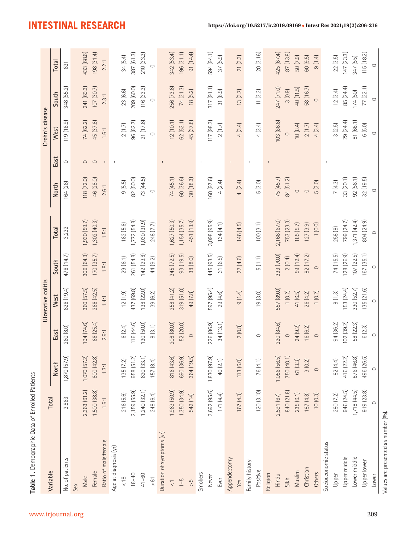| Variable                            | Total        |              |            | Ulcerative colitis |            |              |              |              | Crohn's disease |            |            |
|-------------------------------------|--------------|--------------|------------|--------------------|------------|--------------|--------------|--------------|-----------------|------------|------------|
|                                     |              | <b>North</b> | East       | West               | South      | Total        | <b>North</b> | East         | West            | South      | Total      |
| No. of patients                     | 3,863        | 1,870 (57.9) | 260 (8.0)  | 626 (19.4)         | 476 (14.7) | 3,232        | 164 (26)     | $\circ$      | 119 (18.9)      | 348 (55.2) | 631        |
| Sex                                 |              |              |            |                    |            |              |              |              |                 |            |            |
| Male                                | 2,363 (61.2) | 1,070 (57.2) | 194 (74.6) | 360 (57.5)         | 306 (64.3) | 1,930 (59.7) | 118 (72.0)   | $\circ$      | 74 (62.2)       | 241 (69.3) | 433 (68.6) |
| Female                              | 1,500 (38.8) | 800 (42.8)   | 66 (25.4)  | 266 (42.5)         | 170 (35.7) | 1,302 (40.3) | 46 (28.0)    | $\circ$      | 45 (37.8)       | 107 (30.7) | 198 (31.4) |
| Ratio of male:female                | 1.6:1        | 1.3:1        | 2.9:1      | 1.4:1              | 1.8:1      | 1.5:1        | 2.6:1        | $\Gamma$ .   | 1.6:1           | 2.3:1      | 2.2:1      |
| Age at diagnosis (yr)               |              |              |            |                    |            |              |              | $\,$ l       |                 |            |            |
| $rac{8}{\sqrt{2}}$                  | 216 (5.6)    | 135(7.2)     | 6(2.4)     | 12(1.9)            | 29(6.1)    | 182(5.6)     | 9(5.5)       |              | 2(1.7)          | 23 (6.6)   | 34(5.4)    |
| $18 - 40$                           | 2,159 (55.9) | 958 (51.2)   | 116 (44.6) | 437 (69.8)         | 261 (54.8) | 1,772 (54.8) | 82 (50.0)    |              | 96 (82.7)       | 209 (60.0) | 387 (61.3) |
| $41 - 60$                           | 1,240(32.1)  | 620 (33.1)   | 130 (50.0) | 138 (22.0)         | 142(29.8)  | 1,030 (31.9) | 73 (44.5)    |              | 21 (17.6)       | 116 (33.3) | 210 (33.3) |
| $\frac{5}{6}$                       | 248 (6.4)    | 157 (8.4)    | 8(3.1)     | 39 (6.2)           | 44 (9.2)   | 248 (7.7)    | $\circ$      |              | $\circ$         | $\circ$    | $\circ$    |
| Duration of symptoms (yr)           |              |              |            |                    |            |              |              |              |                 |            |            |
| $\frac{1}{\sqrt{2}}$                | 1,969 (50.9) | 816 (43.6)   | 208 (80.0) | 258 (41.2)         | 345 (72.5) | 1,627 (50.3) | 74 (45.1)    |              | 12(10.1)        | 256 (73.6) | 342 (53.4) |
| $1 - 5$                             | 1,350 (34.9) | 690 (36.9)   | 52 (20.0)  | 319 (51.0)         | 93 (19.5)  | 1,154(35.7)  | 60 (36.6)    |              | 62(52.1)        | 74 (21.3)  | 196(31.1)  |
| $\frac{5}{2}$                       | 542 (14)     | 364 (19.5)   | $\circ$    | 49 (7.8)           | 38 (8.0)   | 451 (13.9)   | 30(18.3)     |              | 45 (37.8)       | 18(5.2)    | 91 (14.4)  |
| Smokers                             |              |              |            |                    |            |              |              | $\mathsf I$  |                 |            |            |
| Never                               | 3,692 (95.6) | 1,830 (97.9) | 226 (86.9) | 597 (95.4)         | 445 (93.5) | 3,098 (95.9) | 160 (97.6)   |              | 117 (98.3)      | 317(91.1)  | 594 (94.1) |
| Ever                                | 171(4.4)     | 40 (2.1)     | 34(13.1)   | 29(4.6)            | 31 (6.5)   | 134(4.1)     | 4(2.4)       |              | 2(1.7)          | 31(8.9)    | 37 (5.9)   |
| Appendectomy                        |              |              |            |                    |            |              |              | $\mathbb{F}$ |                 |            |            |
| Yes                                 | 167(4.3)     | 113 (6.0)    | 2(0.8)     | 9(1.4)             | 22(4.6)    | 146(4.5)     | 4(2.4)       |              | 4(3.4)          | 13(3.7)    | 21(3.3)    |
| Family history                      |              |              |            |                    |            |              |              | $\mathsf I$  |                 |            |            |
| Positive                            | 120(3.10)    | 76 (4.1)     | $\circ$    | 19(3.0)            | 5(1.1)     | 100(3.1)     | 5(3.0)       |              | 4(3.4)          | 11(3.2)    | 20 (3.16)  |
| Religion                            |              |              |            |                    |            |              |              | $\mathsf I$  |                 |            |            |
| Hindu                               | 2,591 (67)   | 1,056 (56.5) | 220 (84.6) | 557 (89.0)         | 333 (70.0) | 2,166 (67.0) | 75 (45.7)    |              | 103 (86.6)      | 247 (71.0) | 425 (67.4) |
| Sikh                                | 840 (21.8)   | 750 (40.1)   | $\circ$    | 1(0.2)             | 2(0.4)     | 753 (23.3)   | 84 (51.2)    |              | $\circ$         | 3(0.9)     | 87 (13.8)  |
| Muslim                              | 235(6.1)     | 61 (3.3)     | 24(9.2)    | 41 (6.5)           | 59 (12.4)  | 185(5.7)     | $\circ$      |              | 10(8.4)         | 40 (11.5)  | 50 (7.9)   |
| Christian                           | 187(4.8)     | 3(0.2)       | 16 (6.2)   | 26(4.2)            | 82 (17.2)  | 127(3.9)     | $\circ$      |              | 2(1.7)          | 58 (16.7)  | 60 (9.5)   |
| Others                              | 10(0.3)      | $\circ$      | $\circ$    | 1(0.2)             | $\circ$    | 1(0.0)       | 5(3.0)       |              | 4(3.4)          | $\circ$    | 9(1.4)     |
| Socioeconomic status                |              |              |            |                    |            |              |              |              |                 |            |            |
| Upper                               | 280 (7.2)    | 82 (4.4)     | 94 (36.2)  | 8(1.3)             | 74 (15.5)  | 258 (8)      | 7(4.3)       |              | 3(2.5)          | 12(3.4)    | 22(3.5)    |
| Upper middle                        | 946 (24.5)   | 416 (22.2)   | 102(39.2)  | 153 (24.4)         | 128 (26.9) | 799 (24.7)   | 33 (20.1)    |              | 29 (24.4)       | 85 (24.4)  | 147(23.3)  |
| Lower middle                        | 1,718(44.5)  | 876 (46.8)   | 58 (22.3)  | 330 (52.7)         | 107(22.5)  | 1,371(42.4)  | 92(56.1)     |              | 81 (68.1)       | 174(50)    | 347 (55)   |
| Upper lower                         | 919 (23.8)   | 496 (26.5)   | 6(2.3)     | 135(21.6)          | 167(35.1)  | 804 (24.9)   | 32(19.5)     |              | 6(5.0)          | 77 (22.1)  | 115(18.2)  |
| Lower                               | $\circ$      | $\circ$      | $\circ$    | $\circ$            | $\circ$    | $\circ$      | $\circ$      |              | $\circ$         | $\circ$    | $\circ$    |
| Values are presented as number (%). |              |              |            |                    |            |              |              |              |                 |            |            |

**Table 1.** Demographic Data of Enrolled Patients

Table 1. Demographic Data of Enrolled Patients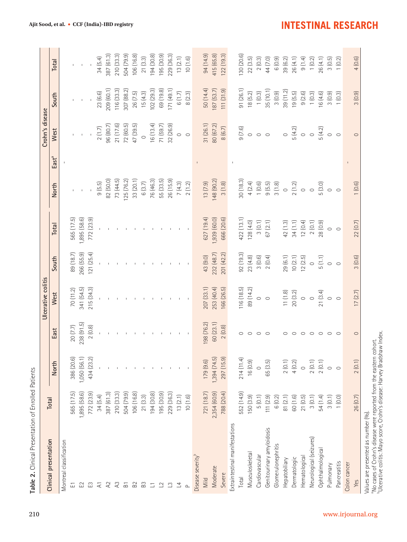| Clinical presentation                                                                                                                                                                  | Total              |              |                | Ulcerative colitis |            |              |            |                   | Crohn's disease |                   |            |
|----------------------------------------------------------------------------------------------------------------------------------------------------------------------------------------|--------------------|--------------|----------------|--------------------|------------|--------------|------------|-------------------|-----------------|-------------------|------------|
|                                                                                                                                                                                        |                    | North        | East           | West               | South      | Total        | North      | East <sup>a</sup> | West            | South             | Total      |
| Montreal classification                                                                                                                                                                |                    |              |                |                    |            |              |            |                   |                 |                   |            |
| 山                                                                                                                                                                                      | 565 (17.5)         | 386 (20.6)   | 20(7.7)        | 70(11.2)           | 89 (18.7)  | 565 (17.5)   |            |                   |                 |                   |            |
| $\Xi$                                                                                                                                                                                  | 1,895 (58.6)       | 1,050 (56.1) | 238 (91.5)     | 341 (54.5)         | 266 (55.9) | 1,895 (58.6) |            |                   |                 |                   |            |
| E                                                                                                                                                                                      | 772 (23.9)         | 434 (23.2)   | 2(0.8)         | 215 (34.3)         | 121(25.4)  | 772 (23.9)   |            |                   | $\bar{1}$       |                   |            |
| $\overline{z}$                                                                                                                                                                         | 34(5.4)            |              |                |                    |            |              | 9(5.5)     |                   | $2(1.7)$        | 23 (6.6)          | 34(5.4)    |
| $\lambda$                                                                                                                                                                              | 387 (61.3)         |              |                | $\pm$              |            |              | 82 (50.0)  |                   | 96 (80.7)       | <b>209 (60.1)</b> | 387 (61.3) |
| $\lambda$                                                                                                                                                                              | 210 (33.3)         |              |                |                    |            |              | 73 (44.5)  |                   | 21(17.6)        | 116 (33.3)        | 210 (33.3) |
| $\overline{B}$                                                                                                                                                                         | 504 (79.9)         |              |                | - 11               |            | $\mathbf{I}$ | 125 (76.2) |                   | 72(60.5)        | 307 (88.2)        | 504 (79.9) |
| B <sub>2</sub>                                                                                                                                                                         | 106 (16.8)         | п.           |                |                    |            |              | 33 (20.1)  |                   | 47 (39.5)       | 26(7.5)           | 106 (16.8) |
| B3                                                                                                                                                                                     | 21(3.3)            |              |                |                    |            |              | 6(3.7)     |                   | $\circ$         | 15(4.3)           | 21(3.3)    |
| $\Box$                                                                                                                                                                                 | 194 (30.8)         |              |                |                    |            |              | 76 (46.3)  |                   | 16 (13.4)       | 102(29.3)         | 194 (30.8) |
| $\supseteq$                                                                                                                                                                            | 195 (30.9)         |              |                |                    |            |              | 55 (33.5)  |                   | 71 (59.7)       | 69 (19.8)         | 195 (30.9) |
| $\mathbb{C}$                                                                                                                                                                           | 229 (36.3)         |              | $\mathbb{I}$   |                    |            |              | 26(15.9)   |                   | 32 (26.9)       | 171 (49.1)        | 229 (36.3) |
| 그                                                                                                                                                                                      | 13(2.1)            | $\mathbb{L}$ |                |                    |            |              | 7(4.3)     |                   | $\circ$         | 6(1.7)            | 13(2.1)    |
| $\sim$                                                                                                                                                                                 | 10(1.6)            |              | $\blacksquare$ |                    |            |              | 2(1.2)     |                   | $\circ$         | 8(2.3)            | 10(1.6)    |
| Disease severity <sup>b</sup>                                                                                                                                                          |                    |              |                |                    |            |              |            | $\mathbb{L}$      |                 |                   |            |
| Mild                                                                                                                                                                                   | 721 (18.7)         | 179 (9.6)    | 198 (76.2)     | 207 (33.1)         | 43 (9.0)   | 627 (19.4)   | 13(7.9)    |                   | 31 (26.1)       | 50 (14.4)         | 94 (14.9)  |
| Moderate                                                                                                                                                                               | 2,354 (60.9)       | 1,394(74.5)  | 60 (23.1)      | 253 (40.4)         | 232 (48.7) | 1,939 (60.0) | 148 (90.2) |                   | 80 (67.2)       | 187 (53.7)        | 415 (65.8) |
| Severe                                                                                                                                                                                 | 788 (20.4)         | 297 (15.9)   | 2(0.8)         | 166 (26.5)         | 201 (42.2) | 666 (20.6)   | 3(1.8)     |                   | 8(6.7)          | 111(31.9)         | 122 (19.3) |
| Extraintestinal manifestations                                                                                                                                                         |                    |              |                |                    |            |              |            | $\mathbf I$       |                 |                   |            |
| Total                                                                                                                                                                                  | 552 (14.9)         | 214(11.4)    | $\circ$        | 116 (18.5)         | 92(19.3)   | 422 (13.1)   | 30(18.3)   |                   | 9(7.6)          | 91(26.1)          | 130 (20.6) |
| Musculoskeletal                                                                                                                                                                        | 150(3.9)           | 16(0.9)      | $\circ$        | 89 (14.2)          | 23(4.8)    | 128(4.0)     | 4(2.4)     |                   | $\circ$         | 18(5.2)           | 22(3.5)    |
| Cardiovascular                                                                                                                                                                         | 5(0.1)             | $\circ$      | $\circ$        | $\circ$            | 3(0.6)     | 3(0.1)       | 1(0.6)     |                   | $\circ$         | 1(0.3)            | 2(0.3)     |
| Genitourinary amyloidosis                                                                                                                                                              | 111(2.9)           | 65 (3.5)     | $\circ$        | $\circ$            | 2(0.4)     | 67(2.1)      | 9(5.5)     |                   | $\circ$         | 35 (10.1)         | 44 (7.0)   |
| Glomerulonephritis                                                                                                                                                                     | 6 <sub>(0.2)</sub> |              |                |                    |            |              | $3(1.8)$   |                   |                 | 3(0.9)            | 6 (0.9)    |
| Hepatobiliary                                                                                                                                                                          | 81(2.1)            | 2(0.1)       | $\circ$        | 11(1.8)            | 29 (6.1)   | 42 (1.3)     | $\circ$    |                   | $\circ$         | 39(11.2)          | 39 (6.2)   |
| Dermatologic                                                                                                                                                                           | 60(1.6)            | 4(0.2)       | $\circ$        | 20(3.2)            | 10(2.1)    | 34(1.1)      | 2(1.2)     |                   | 5(4.2)          | 19(5.5)           | 26(4.1)    |
| Hematological                                                                                                                                                                          | 21(0.5)            | $\circ$      | $\circ$        | $\circ$            | 12(2.5)    | 12(0.4)      | $\circ$    |                   | $\circ$         | 9(2.6)            | 9(1.4)     |
| Neurological (seizures)                                                                                                                                                                | 3(0.1)             | 2(0.1)       | $\circ$        | $\circ$            | $\circ$    | 2(0.1)       | $\circ$    |                   | $\circ$         | 1(0.3)            | 1(0.2)     |
| Ophthalmological                                                                                                                                                                       | 54 (1.4)           | 2(0.1)       | $\circ$        | 21(3.4)            | 5(1.1)     | 28 (0.9)     | 5(3.0)     |                   | 5(4.2)          | 16 (4.6)          | 26 (4.1)   |
| Pulmonary                                                                                                                                                                              | 3(0.1)             | $\circ$      | $\circ$        | $\circ$            | $\circ$    | $\circ$      | $\circ$    |                   | $\circ$         | 3(0.9)            | 3(0.5)     |
| Pancreatitis                                                                                                                                                                           | 1(0.0)             | $\circ$      | $\circ$        | $\circ$            | $\circ$    | $\circ$      | $\circ$    |                   | $\circ$         | (0.3)             | 1(0.2)     |
| Colon cancer                                                                                                                                                                           |                    |              |                |                    |            |              |            | $\mathbf{I}$      |                 |                   |            |
| Yes                                                                                                                                                                                    | 26(0.7)            | 2(0.1)       | $\circ$        | 17(2.7)            | 3(0.6)     | 22(0.7)      | 1 (0.6)    |                   | $\circ$         | 3(0.9)            | 4(0.6)     |
| "No cases of Crohn's disease were reported from the eastern cohort.<br>"Ulcerative colitis: Mayo score, Crohn's disease: Harvey Bradshaw Index.<br>Values are presented as number (%). |                    |              |                |                    |            |              |            |                   |                 |                   |            |

210 www.irjournal.org

### **INTESTINAL RESEARCH**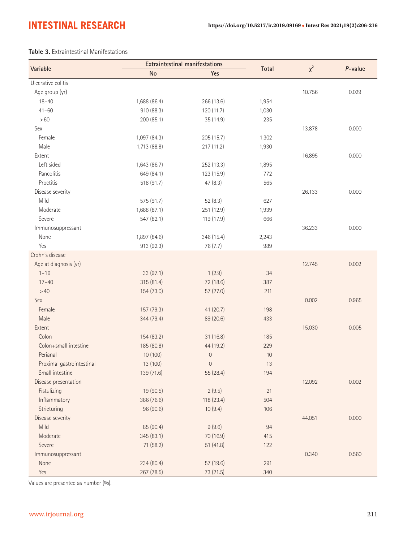#### **Table 3.** Extraintestinal Manifestations

| Variable                  |              | <b>Extraintestinal manifestations</b> |       |          | P-value |
|---------------------------|--------------|---------------------------------------|-------|----------|---------|
|                           | <b>No</b>    | Yes                                   | Total | $\chi^2$ |         |
| Ulcerative colitis        |              |                                       |       |          |         |
| Age group (yr)            |              |                                       |       | 10.756   | 0.029   |
| $18 - 40$                 | 1,688 (86.4) | 266 (13.6)                            | 1,954 |          |         |
| $41 - 60$                 | 910 (88.3)   | 120 (11.7)                            | 1,030 |          |         |
| >60                       | 200 (85.1)   | 35 (14.9)                             | 235   |          |         |
| Sex                       |              |                                       |       | 13.878   | 0.000   |
| Female                    | 1,097 (84.3) | 205(15.7)                             | 1,302 |          |         |
| Male                      | 1,713 (88.8) | 217 (11.2)                            | 1,930 |          |         |
| Extent                    |              |                                       |       | 16.895   | 0.000   |
| Left sided                | 1,643 (86.7) | 252 (13.3)                            | 1,895 |          |         |
| Pancolitis                | 649 (84.1)   | 123 (15.9)                            | 772   |          |         |
| Proctitis                 | 518 (91.7)   | 47(8.3)                               | 565   |          |         |
| Disease severity          |              |                                       |       | 26.133   | 0.000   |
| Mild                      | 575 (91.7)   | 52(8.3)                               | 627   |          |         |
| Moderate                  | 1,688 (87.1) | 251 (12.9)                            | 1,939 |          |         |
| Severe                    | 547 (82.1)   | 119 (17.9)                            | 666   |          |         |
| Immunosuppressant         |              |                                       |       | 36.233   | 0.000   |
| None                      | 1,897 (84.6) | 346 (15.4)                            | 2,243 |          |         |
| Yes                       | 913 (92.3)   | 76 (7.7)                              | 989   |          |         |
| Crohn's disease           |              |                                       |       |          |         |
| Age at diagnosis (yr)     |              |                                       |       | 12.745   | 0.002   |
| $1 - 16$                  | 33 (97.1)    | 1(2.9)                                | 34    |          |         |
| $17 - 40$                 | 315 (81.4)   | 72 (18.6)                             | 387   |          |         |
| >40                       | 154 (73.0)   | 57 (27.0)                             | 211   |          |         |
| Sex                       |              |                                       |       | 0.002    | 0.965   |
| Female                    | 157 (79.3)   | 41 (20.7)                             | 198   |          |         |
| Male                      | 344 (79.4)   | 89 (20.6)                             | 433   |          |         |
| Extent                    |              |                                       |       | 15.030   | 0.005   |
| Colon                     | 154 (83.2)   | 31 (16.8)                             | 185   |          |         |
| Colon+small intestine     | 185 (80.8)   | 44 (19.2)                             | 229   |          |         |
| Perianal                  | 10 (100)     | $\mathbf 0$                           | 10    |          |         |
| Proximal gastrointestinal | 13 (100)     | 0                                     | 13    |          |         |
| Small intestine           | 139 (71.6)   | 55 (28.4)                             | 194   |          |         |
| Disease presentation      |              |                                       |       | 12.092   | 0.002   |
| Fistulizing               | 19 (90.5)    | 2(9.5)                                | $21$  |          |         |
| Inflammatory              | 386 (76.6)   | 118 (23.4)                            | 504   |          |         |
| Stricturing               | 96 (90.6)    | 10(9.4)                               | 106   |          |         |
| Disease severity          |              |                                       |       | 44.051   | 0.000   |
| Mild                      | 85 (90.4)    | 9(9.6)                                | 94    |          |         |
| Moderate                  | 345 (83.1)   | 70 (16.9)                             | 415   |          |         |
| Severe                    | 71 (58.2)    | 51(41.8)                              | 122   |          |         |
| Immunosuppressant         |              |                                       |       | 0.340    | 0.560   |
| None                      | 234 (80.4)   | 57 (19.6)                             | 291   |          |         |
| Yes                       | 267 (78.5)   | 73 (21.5)                             | 340   |          |         |

Values are presented as number (%).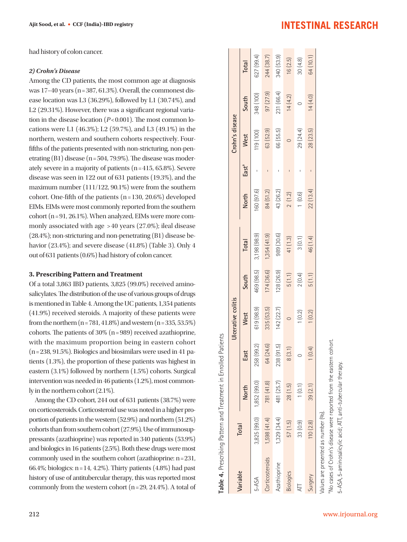had history of colon cancer.

#### *2) Crohn's Disease*

Among the CD patients, the most common age at diagnosis was  $17-40$  years (n = 387, 61.3%). Overall, the commonest disease location was L3 (36.29%), followed by L1 (30.74%), and L2 (29.31%). However, there was a significant regional variation in the disease location (*P*< 0.001). The most common locations were L1 (46.3%); L2 (59.7%), and L3 (49.1%) in the northern, western and southern cohorts respectively. Fourfifths of the patients presented with non-stricturing, non-penetrating  $(B1)$  disease  $(n = 504, 79.9\%)$ . The disease was moderately severe in a majority of patients  $(n=415, 65.8\%)$ . Severe disease was seen in 122 out of 631 patients (19.3%), and the maximum number (111/122, 90.1%) were from the southern cohort. One-fifth of the patients  $(n=130, 20.6\%)$  developed EIMs. EIMs were most commonly reported from the southern cohort (n = 91, 26.1%). When analyzed, EIMs were more commonly associated with age > 40 years (27.0%); ileal disease (28.4%); non-stricturing and non-penetrating (B1) disease behavior (23.4%); and severe disease (41.8%) (Table 3). Only 4 out of 631 patients (0.6%) had history of colon cancer.

#### **3. Prescribing Pattern and Treatment**

Of a total 3,863 IBD patients, 3,825 (99.0%) received aminosalicylates. The distribution of the use of various groups of drugs is mentioned in Table 4. Among the UC patients, 1,354 patients (41.9%) received steroids. A majority of these patients were from the northern  $(n = 781, 41.8\%)$  and western  $(n = 335, 53.5\%)$ cohorts. The patients of  $30\%$  (n = 989) received azathioprine, with the maximum proportion being in eastern cohort  $(n = 238, 91.5\%)$ . Biologics and biosimilars were used in 41 patients (1.3%), the proportion of these patients was highest in eastern (3.1%) followed by northern (1.5%) cohorts. Surgical intervention was needed in 46 patients (1.2%), most commonly in the northern cohort (2.1%).

Among the CD cohort, 244 out of 631 patients (38.7%) were on corticosteroids. Corticosteroid use was noted in a higher proportion of patients in the western (52.9%) and northern (51.2%) cohorts than from southern cohort (27.9%). Use of immunosuppressants (azathioprine) was reported in 340 patients (53.9%) and biologics in 16 patients (2.5%). Both these drugs were most commonly used in the southern cohort (azathioprine: n = 231, 66.4%; biologics: n = 14, 4.2%). Thirty patients (4.8%) had past history of use of antitubercular therapy, this was reported most commonly from the western cohort  $(n=29, 24.4\%)$ . A total of Table 4. Prescribing Pattern and Treatment in Enrolled Patients **Table 4.** Prescribing Pattern and Treatment in Enrolled Patients

| Variable                                                   | <b>Total</b>              |            |                     | Ulcerative colitis |            |              |           |                   | Crohn's disease |            |            |
|------------------------------------------------------------|---------------------------|------------|---------------------|--------------------|------------|--------------|-----------|-------------------|-----------------|------------|------------|
|                                                            |                           | North      | East                | <b>West</b>        | South      | Total        | North     | East <sup>a</sup> | West            | South      | Total      |
| 5-ASA                                                      | 3,825 (99.0) 1,852 (99.0) |            | (99.2)<br>258       | 619 (98.9)         | 469 (98.5) | 3,198 (98.9) | 60 (97.6) |                   | 119 (100)       | 348 (100)  | 627 (99.4) |
| <b>Corticosteroids</b>                                     | 1,598(41.4)               | 781 (41.8) | 64 (24.6)           | 335 (53.5)         | 174 (36.6) | 1,354(41.9)  | 84(51.2)  |                   | 63 (52.9)       | 97 (27.9)  | 244 (38.7) |
| Azathioprine                                               | 1,329 (34.4)              | 481 (25.7) | (91.5)<br>238       | 142(22.7)          | 128 (26.9) | 989 (30.6)   | 43 (26.2) |                   | 66 (55.5)       | 231 (66.4) | 340 (53.9) |
| <b>Biologics</b>                                           | 57(1.5)                   | 28(1.5)    | $(3.1)$<br>$\infty$ |                    | 5(1.1)     | 41 (1.3)     | 2(1.2)    |                   |                 | 14(4.2)    | 16(2.5)    |
|                                                            | 33 <sub>(0.9)</sub>       | 1(0.1)     |                     | (0.2)              | 2(0.4)     | 3(0.1)       | $(0.6)$   |                   | 29 (24.4)       |            | 30(4.8)    |
| Surgery                                                    | 110(2.8)                  | 39(2.1)    | (0.4)               | (0.2)              | 5(1.1)     | 46 (1.4)     | 22(13.4)  |                   | 28 (23.5)       | 14(4.0)    | 64 (10.1)  |
| /alues are presented as number (%).                        |                           |            |                     |                    |            |              |           |                   |                 |            |            |
| No cases of Crohn's disease were reported from the eastern |                           |            | cohort              |                    |            |              |           |                   |                 |            |            |

# **INTESTINAL RESEARCH**

5-ASA, 5-aminosalicylic acid; ATT, anti-tubercular therapy.

5-ASA, 5-aminosalicylic acid; ATI, anti-tubercular therapy.

212 www.irjournal.org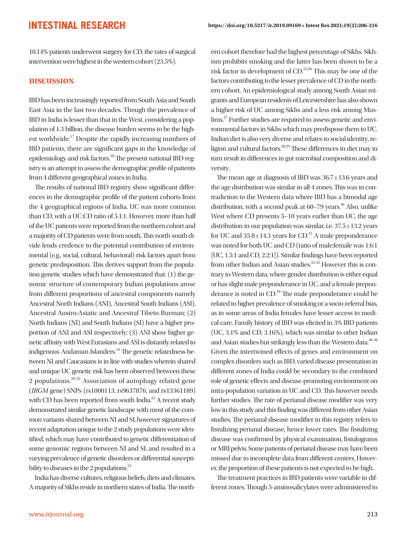10.14% patients underwent surgery for CD, the rates of surgical intervention were highest in the western cohort (23.5%).

#### **DISCUSSION**

IBD has been increasingly reported from South Asia and South East Asia in the last two decades. Though the prevalence of IBD in India is lesser than that in the West, considering a population of 1.3 billion, the disease burden seems to be the highest worldwide.17 Despite the rapidly increasing numbers of IBD patients, there are significant gaps in the knowledge of epidemiology and risk factors.<sup>18</sup> The present national IBD registry is an attempt to assess the demographic profile of patients from 4 different geographical zones in India.

The results of national IBD registry show significant differences in the demographic profile of the patient cohorts from the 4 geographical regions of India. UC was more common than CD, with a UC:CD ratio of 5.1:1. However, more than half of the UC patients were reported from the northern cohort and a majority of CD patients were from south. This north-south divide lends credence to the potential contribution of environmental (e.g., social, cultural, behavioral) risk factors apart from genetic predisposition. This derives support from the population genetic studies which have demonstrated that: (1) the genomic structure of contemporary Indian populations arose from different proportions of ancestral components namely Ancestral North Indians (ANI), Ancestral South Indians (ASI), Ancestral Austro-Asiatic and Ancestral Tibeto-Burman; (2) North Indians (NI) and South Indians (SI) have a higher proportion of ANI and ASI respectively; (3) ANI show higher genetic affinity with West Eurasians and ASI is distantly related to indigenous Andaman Islanders.<sup>19</sup> The genetic relatedness between NI and Caucasians is in line with studies wherein shared and unique UC genetic risk has been observed between these 2 populations.20-22 Association of autophagy related gene (*IRGM* gene) SNPs (rs1000113, rs9637876, and rs13361189) with CD has been reported from south India.<sup>23</sup> A recent study demonstrated similar genetic landscape with most of the common variants shared between NI and SI, however signatures of recent adaptation unique to the 2 study populations were identified, which may have contributed to genetic differentiation of some genomic regions between NI and SI, and resulted in a varying prevalence of genetic disorders or differential susceptibility to diseases in the 2 populations. $^{24}$ 

India has diverse cultures, religious beliefs, diets and climates. A majority of Sikhs reside in northern states of India. The northern cohort therefore had the highest percentage of Sikhs. Sikhism prohibits smoking and the latter has been shown to be a risk factor in development of CD.25,26 This may be one of the factors contributing to the lesser prevalence of CD in the northern cohort. An epidemiological study among South Asian migrants and European residents of Leicestershire has also shown a higher risk of UC among Sikhs and a less risk among Muslims.<sup>27</sup> Further studies are required to assess genetic and environmental factors in Sikhs which may predispose them to UC. Indian diet is also very diverse and relates to social identity, religion and cultural factors.28,29 These differences in diet may in turn result in differences in gut microbial composition and diversity.

The mean age at diagnosis of IBD was 36.7 ± 13.6 years and the age distribution was similar in all 4 zones. This was in contradiction to the Western data where IBD has a bimodal age distribution, with a second peak at  $60-79$  years.<sup>30</sup> Also, unlike West where CD presents 5–10 years earlier than UC, the age distribution in our population was similar, i.e.  $37.5 \pm 13.2$  years for UC and  $35.8 \pm 14.3$  years for CD.<sup>31</sup> A male preponderance was noted for both UC and CD (ratio of male:female was 1.6:1 [UC, 1.5:1 and CD, 2.2:1]). Similar findings have been reported from other Indian and Asian studies.<sup>32-35</sup> However this is contrary to Western data, where gender distribution is either equal or has slight male preponderance in UC, and a female preponderance is noted in CD.<sup>18</sup> The male preponderance could be related to higher prevalence of smoking or a socio-referral bias, as in some areas of India females have lesser access to medical care. Family history of IBD was elicited in 3% IBD patients (UC, 3.1% and CD, 3.16%), which was similar to other Indian and Asian studies but strikingly less than the Western data.<sup>36-38</sup> Given the intertwined effects of genes and environment on complex disorders such as IBD, varied disease presentation in different zones of India could be secondary to the combined role of genetic effects and disease-promoting environment on intra-population variation in UC and CD. This however needs further studies. The rate of perianal disease modifier was very low in this study and this finding was different from other Asian studies. The perianal disease modifier in this registry refers to fistulizing perianal disease, hence lower rates. The fistulizing disease was confirmed by physical examination, fistulograms or MRI pelvis. Some patients of perianal disease may have been missed due to incomplete data from different centers. However, the proportion of these patients is not expected to be high.

The treatment practices in IBD patients were variable in different zones. Though 5-aminosalicylates were administered to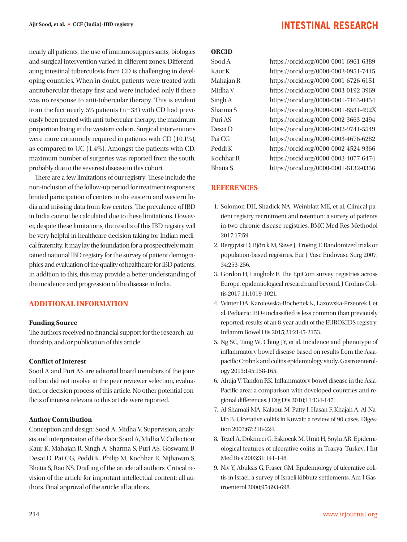nearly all patients, the use of immunosuppressants, biologics and surgical intervention varied in different zones. Differentiating intestinal tuberculosis from CD is challenging in developing countries. When in doubt, patients were treated with antitubercular therapy first and were included only if there was no response to anti-tubercular therapy. This is evident from the fact nearly 5% patients  $(n=33)$  with CD had previously been treated with anti-tubercular therapy, the maximum proportion being in the western cohort. Surgical interventions were more commonly required in patients with CD (10.1%), as compared to UC (1.4%). Amongst the patients with CD, maximum number of surgeries was reported from the south, probably due to the severest disease in this cohort.

There are a few limitations of our registry. These include the non-inclusion of the follow-up period for treatment responses; limited participation of centers in the eastern and western India and missing data from few centers. The prevalence of IBD in India cannot be calculated due to these limitations. However, despite these limitations, the results of this IBD registry will be very helpful in healthcare decision taking for Indian medical fraternity. It may lay the foundation for a prospectively maintained national IBD registry for the survey of patient demographics and evaluation of the quality of healthcare for IBD patients. In addition to this, this may provide a better understanding of the incidence and progression of the disease in India.

#### **ADDITIONAL INFORMATION**

#### **Funding Source**

The authors received no financial support for the research, authorship, and/or publication of this article.

#### **Conflict of Interest**

Sood A and Puri AS are editorial board members of the journal but did not involve in the peer reviewer selection, evaluation, or decision process of this article. No other potential conflicts of interest relevant to this article were reported.

#### **Author Contribution**

Conception and design: Sood A, Midha V. Supervision, analysis and interpretation of the data: Sood A, Midha V. Collection: Kaur K, Mahajan R, Singh A, Sharma S, Puri AS, Goswami B, Desai D, Pai CG, Peddi K, Philip M, Kochhar R, Nijhawan S, Bhatia S, Rao NS. Drafting of the article: all authors. Critical revision of the article for important intellectual content: all authors. Final approval of the article: all authors.

#### **ORCID**

Sood A https://orcid.org/0000-0001-6961-6389 Kaur K https://orcid.org/0000-0002-0951-7415 Mahajan R https://orcid.org/0000-0001-6726-6151 Midha V https://orcid.org/0000-0003-0192-3969 Singh A https://orcid.org/0000-0001-7163-0454 Sharma S https://orcid.org/0000-0001-8531-492X Puri AS https://orcid.org/0000-0002-3663-2494 Desai D https://orcid.org/0000-0002-9741-5549 Pai CG https://orcid.org/0000-0003-4676-6282 Peddi K https://orcid.org/0000-0002-4524-9366 Kochhar R https://orcid.org/0000-0002-4077-6474 Bhatia S https://orcid.org/0000-0001-6132-0356

#### **REFERENCES**

- 1. Solomon DH, Shadick NA, Weinblatt ME, et al. Clinical patient registry recruitment and retention: a survey of patients in two chronic disease registries. BMC Med Res Methodol 2017;17:59.
- 2. Bergqvist D, Björck M, Säwe J, Troëng T. Randomized trials or population-based registries. Eur J Vasc Endovasc Surg 2007; 34:253-256.
- 3. Gordon H, Langholz E. The EpiCom survey: registries across Europe, epidemiological research and beyond. J Crohns Colitis 2017;11:1019-1021.
- 4. Winter DA, Karolewska-Bochenek K, Lazowska-Przeorek I, et al. Pediatric IBD-unclassified is less common than previously reported; results of an 8-year audit of the EUROKIDS registry. Inflamm Bowel Dis 2015;21:2145-2153.
- 5. Ng SC, Tang W, Ching JY, et al. Incidence and phenotype of inflammatory bowel disease based on results from the Asiapacific Crohn's and colitis epidemiology study. Gastroenterology 2013;145:158-165.
- 6. Ahuja V, Tandon RK. Inflammatory bowel disease in the Asia-Pacific area: a comparison with developed countries and regional differences. J Dig Dis 2010;11:134-147.
- 7. Al-Shamali MA, Kalaoui M, Patty I, Hasan F, Khajah A, Al-Nakib B. Ulcerative colitis in Kuwait: a review of 90 cases. Digestion 2003;67:218-224.
- 8. Tezel A, Dökmeci G, Eskiocak M, Umit H, Soylu AR. Epidemiological features of ulcerative colitis in Trakya, Turkey. J Int Med Res 2003;31:141-148.
- 9. Niv Y, Abuksis G, Fraser GM. Epidemiology of ulcerative colitis in Israel: a survey of Israeli kibbutz settlements. Am J Gastroenterol 2000;95:693-698.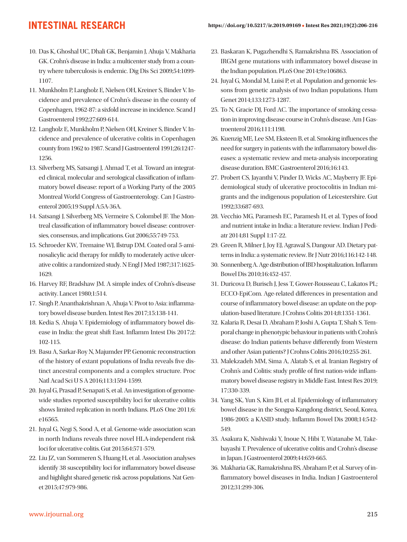- 10. Das K, Ghoshal UC, Dhali GK, Benjamin J, Ahuja V, Makharia GK. Crohn's disease in India: a multicenter study from a country where tuberculosis is endemic. Dig Dis Sci 2009;54:1099- 1107.
- 11. Munkholm P, Langholz E, Nielsen OH, Kreiner S, Binder V. Incidence and prevalence of Crohn's disease in the county of Copenhagen, 1962-87: a sixfold increase in incidence. Scand J Gastroenterol 1992;27:609-614.
- 12. Langholz E, Munkholm P, Nielsen OH, Kreiner S, Binder V. Incidence and prevalence of ulcerative colitis in Copenhagen county from 1962 to 1987. Scand J Gastroenterol 1991;26:1247- 1256.
- 13. Silverberg MS, Satsangi J, Ahmad T, et al. Toward an integrated clinical, molecular and serological classification of inflammatory bowel disease: report of a Working Party of the 2005 Montreal World Congress of Gastroenterology. Can J Gastroenterol 2005;19 Suppl A:5A-36A.
- 14. Satsangi J, Silverberg MS, Vermeire S, Colombel JF. The Montreal classification of inflammatory bowel disease: controversies, consensus, and implications. Gut 2006;55:749-753.
- 15. Schroeder KW, Tremaine WJ, Ilstrup DM. Coated oral 5-aminosalicylic acid therapy for mildly to moderately active ulcerative colitis: a randomized study. N Engl J Med 1987;317:1625- 1629.
- 16. Harvey RF, Bradshaw JM. A simple index of Crohn's-disease activity. Lancet 1980;1:514.
- 17. Singh P, Ananthakrishnan A, Ahuja V. Pivot to Asia: inflammatory bowel disease burden. Intest Res 2017;15:138-141.
- 18. Kedia S, Ahuja V. Epidemiology of inflammatory bowel disease in India: the great shift East. Inflamm Intest Dis 2017;2: 102-115.
- 19. Basu A, Sarkar-Roy N, Majumder PP. Genomic reconstruction of the history of extant populations of India reveals five distinct ancestral components and a complex structure. Proc Natl Acad Sci U S A 2016;113:1594-1599.
- 20. Juyal G, Prasad P, Senapati S, et al. An investigation of genomewide studies reported susceptibility loci for ulcerative colitis shows limited replication in north Indians. PLoS One 2011;6: e16565.
- 21. Juyal G, Negi S, Sood A, et al. Genome-wide association scan in north Indians reveals three novel HLA-independent risk loci for ulcerative colitis. Gut 2015;64:571-579.
- 22. Liu JZ, van Sommeren S, Huang H, et al. Association analyses identify 38 susceptibility loci for inflammatory bowel disease and highlight shared genetic risk across populations. Nat Genet 2015;47:979-986.
- 23. Baskaran K, Pugazhendhi S, Ramakrishna BS. Association of IRGM gene mutations with inflammatory bowel disease in the Indian population. PLoS One 2014;9:e106863.
- 24. Juyal G, Mondal M, Luisi P, et al. Population and genomic lessons from genetic analysis of two Indian populations. Hum Genet 2014;133:1273-1287.
- 25. To N, Gracie DJ, Ford AC. The importance of smoking cessation in improving disease course in Crohn's disease. Am J Gastroenterol 2016;111:1198.
- 26. Kuenzig ME, Lee SM, Eksteen B, et al. Smoking influences the need for surgery in patients with the inflammatory bowel diseases: a systematic review and meta-analysis incorporating disease duration. BMC Gastroenterol 2016;16:143.
- 27. Probert CS, Jayanthi V, Pinder D, Wicks AC, Mayberry JF. Epidemiological study of ulcerative proctocolitis in Indian migrants and the indigenous population of Leicestershire. Gut 1992;33:687-693.
- 28. Vecchio MG, Paramesh EC, Paramesh H, et al. Types of food and nutrient intake in India: a literature review. Indian J Pediatr 2014;81 Suppl 1:17-22.
- 29. Green R, Milner J, Joy EJ, Agrawal S, Dangour AD. Dietary patterns in India: a systematic review. Br J Nutr 2016;116:142-148.
- 30. Sonnenberg A. Age distribution of IBD hospitalization. Inflamm Bowel Dis 2010;16:452-457.
- 31. Duricova D, Burisch J, Jess T, Gower-Rousseau C, Lakatos PL; ECCO-EpiCom. Age-related differences in presentation and course of inflammatory bowel disease: an update on the population-based literature. J Crohns Colitis 2014;8:1351-1361.
- 32. Kalaria R, Desai D, Abraham P, Joshi A, Gupta T, Shah S. Temporal change in phenotypic behaviour in patients with Crohn's disease: do Indian patients behave differently from Western and other Asian patients? J Crohns Colitis 2016;10:255-261.
- 33. Malekzadeh MM, Sima A, Alatab S, et al. Iranian Registry of Crohn's and Colitis: study profile of first nation-wide inflammatory bowel disease registry in Middle East. Intest Res 2019; 17:330-339.
- 34. Yang SK, Yun S, Kim JH, et al. Epidemiology of inflammatory bowel disease in the Songpa-Kangdong district, Seoul, Korea, 1986-2005: a KASID study. Inflamm Bowel Dis 2008;14:542- 549.
- 35. Asakura K, Nishiwaki Y, Inoue N, Hibi T, Watanabe M, Takebayashi T. Prevalence of ulcerative colitis and Crohn's disease in Japan. J Gastroenterol 2009;44:659-665.
- 36. Makharia GK, Ramakrishna BS, Abraham P, et al. Survey of inflammatory bowel diseases in India. Indian J Gastroenterol 2012;31:299-306.